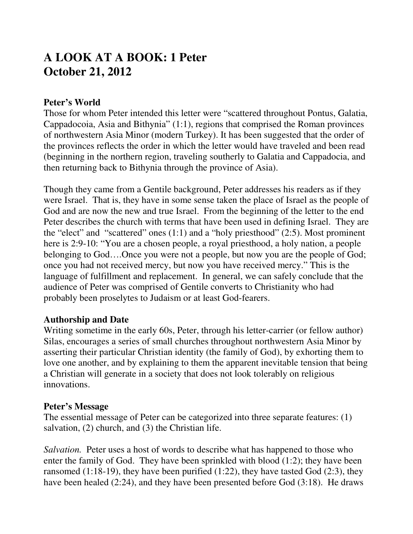# **A LOOK AT A BOOK: 1 Peter October 21, 2012**

#### **Peter's World**

Those for whom Peter intended this letter were "scattered throughout Pontus, Galatia, Cappadocoia, Asia and Bithynia" (1:1), regions that comprised the Roman provinces of northwestern Asia Minor (modern Turkey). It has been suggested that the order of the provinces reflects the order in which the letter would have traveled and been read (beginning in the northern region, traveling southerly to Galatia and Cappadocia, and then returning back to Bithynia through the province of Asia).

Though they came from a Gentile background, Peter addresses his readers as if they were Israel. That is, they have in some sense taken the place of Israel as the people of God and are now the new and true Israel. From the beginning of the letter to the end Peter describes the church with terms that have been used in defining Israel. They are the "elect" and "scattered" ones (1:1) and a "holy priesthood" (2:5). Most prominent here is 2:9-10: "You are a chosen people, a royal priesthood, a holy nation, a people belonging to God….Once you were not a people, but now you are the people of God; once you had not received mercy, but now you have received mercy." This is the language of fulfillment and replacement. In general, we can safely conclude that the audience of Peter was comprised of Gentile converts to Christianity who had probably been proselytes to Judaism or at least God-fearers.

#### **Authorship and Date**

Writing sometime in the early 60s, Peter, through his letter-carrier (or fellow author) Silas, encourages a series of small churches throughout northwestern Asia Minor by asserting their particular Christian identity (the family of God), by exhorting them to love one another, and by explaining to them the apparent inevitable tension that being a Christian will generate in a society that does not look tolerably on religious innovations.

#### **Peter's Message**

The essential message of Peter can be categorized into three separate features: (1) salvation, (2) church, and (3) the Christian life.

*Salvation.* Peter uses a host of words to describe what has happened to those who enter the family of God. They have been sprinkled with blood (1:2); they have been ransomed (1:18-19), they have been purified (1:22), they have tasted God (2:3), they have been healed (2:24), and they have been presented before God (3:18). He draws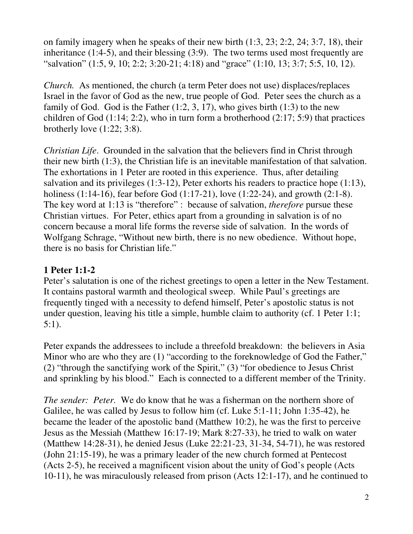on family imagery when he speaks of their new birth (1:3, 23; 2:2, 24; 3:7, 18), their inheritance (1:4-5), and their blessing (3:9). The two terms used most frequently are "salvation" (1:5, 9, 10; 2:2; 3:20-21; 4:18) and "grace" (1:10, 13; 3:7; 5:5, 10, 12).

*Church.* As mentioned, the church (a term Peter does not use) displaces/replaces Israel in the favor of God as the new, true people of God. Peter sees the church as a family of God. God is the Father  $(1:2, 3, 17)$ , who gives birth  $(1:3)$  to the new children of God  $(1:14; 2:2)$ , who in turn form a brotherhood  $(2:17; 5:9)$  that practices brotherly love  $(1:22; 3:8)$ .

*Christian Life*. Grounded in the salvation that the believers find in Christ through their new birth (1:3), the Christian life is an inevitable manifestation of that salvation. The exhortations in 1 Peter are rooted in this experience. Thus, after detailing salvation and its privileges (1:3-12), Peter exhorts his readers to practice hope (1:13), holiness (1:14-16), fear before God (1:17-21), love (1:22-24), and growth (2:1-8). The key word at 1:13 is "therefore" : because of salvation, *therefore* pursue these Christian virtues. For Peter, ethics apart from a grounding in salvation is of no concern because a moral life forms the reverse side of salvation. In the words of Wolfgang Schrage, "Without new birth, there is no new obedience. Without hope, there is no basis for Christian life."

# **1 Peter 1:1-2**

Peter's salutation is one of the richest greetings to open a letter in the New Testament. It contains pastoral warmth and theological sweep. While Paul's greetings are frequently tinged with a necessity to defend himself, Peter's apostolic status is not under question, leaving his title a simple, humble claim to authority (cf. 1 Peter 1:1; 5:1).

Peter expands the addressees to include a threefold breakdown: the believers in Asia Minor who are who they are (1) "according to the foreknowledge of God the Father," (2) "through the sanctifying work of the Spirit," (3) "for obedience to Jesus Christ and sprinkling by his blood." Each is connected to a different member of the Trinity.

*The sender: Peter.* We do know that he was a fisherman on the northern shore of Galilee, he was called by Jesus to follow him (cf. Luke 5:1-11; John 1:35-42), he became the leader of the apostolic band (Matthew 10:2), he was the first to perceive Jesus as the Messiah (Matthew 16:17-19; Mark 8:27-33), he tried to walk on water (Matthew 14:28-31), he denied Jesus (Luke 22:21-23, 31-34, 54-71), he was restored (John 21:15-19), he was a primary leader of the new church formed at Pentecost (Acts 2-5), he received a magnificent vision about the unity of God's people (Acts 10-11), he was miraculously released from prison (Acts 12:1-17), and he continued to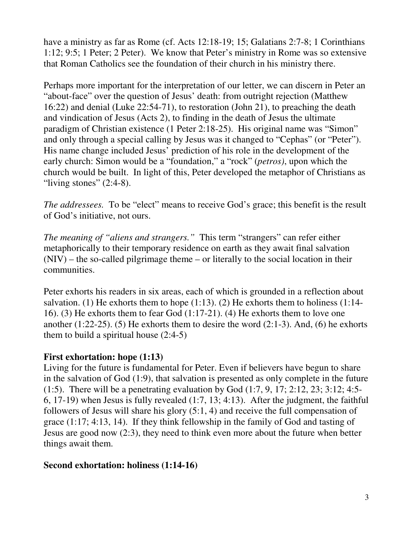have a ministry as far as Rome (cf. Acts 12:18-19; 15; Galatians 2:7-8; 1 Corinthians 1:12; 9:5; 1 Peter; 2 Peter). We know that Peter's ministry in Rome was so extensive that Roman Catholics see the foundation of their church in his ministry there.

Perhaps more important for the interpretation of our letter, we can discern in Peter an "about-face" over the question of Jesus' death: from outright rejection (Matthew 16:22) and denial (Luke 22:54-71), to restoration (John 21), to preaching the death and vindication of Jesus (Acts 2), to finding in the death of Jesus the ultimate paradigm of Christian existence (1 Peter 2:18-25). His original name was "Simon" and only through a special calling by Jesus was it changed to "Cephas" (or "Peter"). His name change included Jesus' prediction of his role in the development of the early church: Simon would be a "foundation," a "rock" (*petros)*, upon which the church would be built. In light of this, Peter developed the metaphor of Christians as "living stones"  $(2:4-8)$ .

*The addressees.* To be "elect" means to receive God's grace; this benefit is the result of God's initiative, not ours.

*The meaning of "aliens and strangers."* This term "strangers" can refer either metaphorically to their temporary residence on earth as they await final salvation (NIV) – the so-called pilgrimage theme – or literally to the social location in their communities.

Peter exhorts his readers in six areas, each of which is grounded in a reflection about salvation. (1) He exhorts them to hope  $(1:13)$ . (2) He exhorts them to holiness  $(1:14-$ 16). (3) He exhorts them to fear God (1:17-21). (4) He exhorts them to love one another  $(1:22-25)$ . (5) He exhorts them to desire the word  $(2:1-3)$ . And, (6) he exhorts them to build a spiritual house  $(2:4-5)$ 

## **First exhortation: hope (1:13)**

Living for the future is fundamental for Peter. Even if believers have begun to share in the salvation of God (1:9), that salvation is presented as only complete in the future (1:5). There will be a penetrating evaluation by God (1:7, 9, 17; 2:12, 23; 3:12; 4:5- 6, 17-19) when Jesus is fully revealed (1:7, 13; 4:13). After the judgment, the faithful followers of Jesus will share his glory (5:1, 4) and receive the full compensation of grace (1:17; 4:13, 14). If they think fellowship in the family of God and tasting of Jesus are good now (2:3), they need to think even more about the future when better things await them.

#### **Second exhortation: holiness (1:14-16)**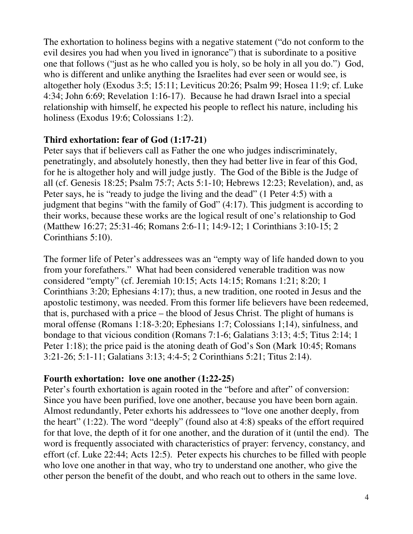The exhortation to holiness begins with a negative statement ("do not conform to the evil desires you had when you lived in ignorance") that is subordinate to a positive one that follows ("just as he who called you is holy, so be holy in all you do.") God, who is different and unlike anything the Israelites had ever seen or would see, is altogether holy (Exodus 3:5; 15:11; Leviticus 20:26; Psalm 99; Hosea 11:9; cf. Luke 4:34; John 6:69; Revelation 1:16-17). Because he had drawn Israel into a special relationship with himself, he expected his people to reflect his nature, including his holiness (Exodus 19:6; Colossians 1:2).

## **Third exhortation: fear of God (1:17-21)**

Peter says that if believers call as Father the one who judges indiscriminately, penetratingly, and absolutely honestly, then they had better live in fear of this God, for he is altogether holy and will judge justly. The God of the Bible is the Judge of all (cf. Genesis 18:25; Psalm 75:7; Acts 5:1-10; Hebrews 12:23; Revelation), and, as Peter says, he is "ready to judge the living and the dead" (1 Peter 4:5) with a judgment that begins "with the family of God" (4:17). This judgment is according to their works, because these works are the logical result of one's relationship to God (Matthew 16:27; 25:31-46; Romans 2:6-11; 14:9-12; 1 Corinthians 3:10-15; 2 Corinthians 5:10).

The former life of Peter's addressees was an "empty way of life handed down to you from your forefathers." What had been considered venerable tradition was now considered "empty" (cf. Jeremiah 10:15; Acts 14:15; Romans 1:21; 8:20; 1 Corinthians 3:20; Ephesians 4:17); thus, a new tradition, one rooted in Jesus and the apostolic testimony, was needed. From this former life believers have been redeemed, that is, purchased with a price – the blood of Jesus Christ. The plight of humans is moral offense (Romans 1:18-3:20; Ephesians 1:7; Colossians 1;14), sinfulness, and bondage to that vicious condition (Romans 7:1-6; Galatians 3:13; 4:5; Titus 2:14; 1 Peter 1:18); the price paid is the atoning death of God's Son (Mark 10:45; Romans 3:21-26; 5:1-11; Galatians 3:13; 4:4-5; 2 Corinthians 5:21; Titus 2:14).

## **Fourth exhortation: love one another (1:22-25)**

Peter's fourth exhortation is again rooted in the "before and after" of conversion: Since you have been purified, love one another, because you have been born again. Almost redundantly, Peter exhorts his addressees to "love one another deeply, from the heart" (1:22). The word "deeply" (found also at 4:8) speaks of the effort required for that love, the depth of it for one another, and the duration of it (until the end). The word is frequently associated with characteristics of prayer: fervency, constancy, and effort (cf. Luke 22:44; Acts 12:5). Peter expects his churches to be filled with people who love one another in that way, who try to understand one another, who give the other person the benefit of the doubt, and who reach out to others in the same love.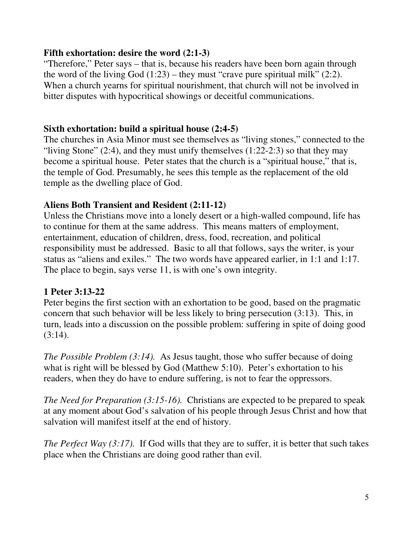## **Fifth exhortation: desire the word (2:1-3)**

"Therefore," Peter says – that is, because his readers have been born again through the word of the living God  $(1:23)$  – they must "crave pure spiritual milk"  $(2:2)$ . When a church yearns for spiritual nourishment, that church will not be involved in bitter disputes with hypocritical showings or deceitful communications.

# **Sixth exhortation: build a spiritual house (2:4-5)**

The churches in Asia Minor must see themselves as "living stones," connected to the "living Stone"  $(2:4)$ , and they must unify themselves  $(1:22-2:3)$  so that they may become a spiritual house. Peter states that the church is a "spiritual house," that is, the temple of God. Presumably, he sees this temple as the replacement of the old temple as the dwelling place of God.

# **Aliens Both Transient and Resident (2:11-12)**

Unless the Christians move into a lonely desert or a high-walled compound, life has to continue for them at the same address. This means matters of employment, entertainment, education of children, dress, food, recreation, and political responsibility must be addressed. Basic to all that follows, says the writer, is your status as "aliens and exiles." The two words have appeared earlier, in 1:1 and 1:17. The place to begin, says verse 11, is with one's own integrity.

# **1 Peter 3:13-22**

Peter begins the first section with an exhortation to be good, based on the pragmatic concern that such behavior will be less likely to bring persecution (3:13). This, in turn, leads into a discussion on the possible problem: suffering in spite of doing good  $(3:14)$ .

*The Possible Problem (3:14).* As Jesus taught, those who suffer because of doing what is right will be blessed by God (Matthew 5:10). Peter's exhortation to his readers, when they do have to endure suffering, is not to fear the oppressors.

*The Need for Preparation (3:15-16).* Christians are expected to be prepared to speak at any moment about God's salvation of his people through Jesus Christ and how that salvation will manifest itself at the end of history.

*The Perfect Way (3:17).* If God wills that they are to suffer, it is better that such takes place when the Christians are doing good rather than evil.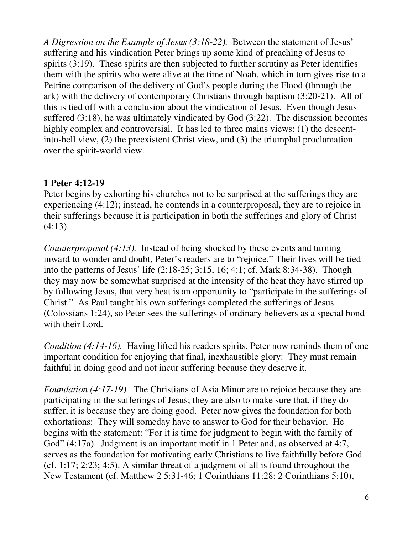*A Digression on the Example of Jesus (3:18-22).* Between the statement of Jesus' suffering and his vindication Peter brings up some kind of preaching of Jesus to spirits (3:19). These spirits are then subjected to further scrutiny as Peter identifies them with the spirits who were alive at the time of Noah, which in turn gives rise to a Petrine comparison of the delivery of God's people during the Flood (through the ark) with the delivery of contemporary Christians through baptism (3:20-21). All of this is tied off with a conclusion about the vindication of Jesus. Even though Jesus suffered (3:18), he was ultimately vindicated by God (3:22). The discussion becomes highly complex and controversial. It has led to three mains views: (1) the descentinto-hell view, (2) the preexistent Christ view, and (3) the triumphal proclamation over the spirit-world view.

## **1 Peter 4:12-19**

Peter begins by exhorting his churches not to be surprised at the sufferings they are experiencing (4:12); instead, he contends in a counterproposal, they are to rejoice in their sufferings because it is participation in both the sufferings and glory of Christ  $(4:13)$ .

*Counterproposal (4:13).* Instead of being shocked by these events and turning inward to wonder and doubt, Peter's readers are to "rejoice." Their lives will be tied into the patterns of Jesus' life (2:18-25; 3:15, 16; 4:1; cf. Mark 8:34-38). Though they may now be somewhat surprised at the intensity of the heat they have stirred up by following Jesus, that very heat is an opportunity to "participate in the sufferings of Christ." As Paul taught his own sufferings completed the sufferings of Jesus (Colossians 1:24), so Peter sees the sufferings of ordinary believers as a special bond with their Lord.

*Condition (4:14-16).* Having lifted his readers spirits, Peter now reminds them of one important condition for enjoying that final, inexhaustible glory: They must remain faithful in doing good and not incur suffering because they deserve it.

*Foundation (4:17-19).* The Christians of Asia Minor are to rejoice because they are participating in the sufferings of Jesus; they are also to make sure that, if they do suffer, it is because they are doing good. Peter now gives the foundation for both exhortations: They will someday have to answer to God for their behavior. He begins with the statement: "For it is time for judgment to begin with the family of God" (4:17a). Judgment is an important motif in 1 Peter and, as observed at 4:7, serves as the foundation for motivating early Christians to live faithfully before God (cf. 1:17; 2:23; 4:5). A similar threat of a judgment of all is found throughout the New Testament (cf. Matthew 2 5:31-46; 1 Corinthians 11:28; 2 Corinthians 5:10),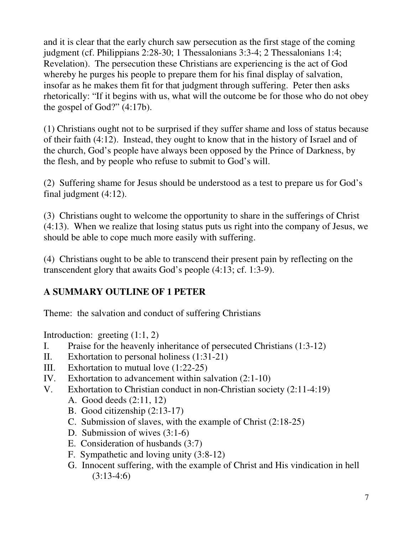and it is clear that the early church saw persecution as the first stage of the coming judgment (cf. Philippians 2:28-30; 1 Thessalonians 3:3-4; 2 Thessalonians 1:4; Revelation). The persecution these Christians are experiencing is the act of God whereby he purges his people to prepare them for his final display of salvation, insofar as he makes them fit for that judgment through suffering. Peter then asks rhetorically: "If it begins with us, what will the outcome be for those who do not obey the gospel of God?" (4:17b).

(1) Christians ought not to be surprised if they suffer shame and loss of status because of their faith (4:12). Instead, they ought to know that in the history of Israel and of the church, God's people have always been opposed by the Prince of Darkness, by the flesh, and by people who refuse to submit to God's will.

(2) Suffering shame for Jesus should be understood as a test to prepare us for God's final judgment (4:12).

(3) Christians ought to welcome the opportunity to share in the sufferings of Christ (4:13). When we realize that losing status puts us right into the company of Jesus, we should be able to cope much more easily with suffering.

(4) Christians ought to be able to transcend their present pain by reflecting on the transcendent glory that awaits God's people (4:13; cf. 1:3-9).

## **A SUMMARY OUTLINE OF 1 PETER**

Theme: the salvation and conduct of suffering Christians

Introduction: greeting (1:1, 2)

- I. Praise for the heavenly inheritance of persecuted Christians (1:3-12)
- II. Exhortation to personal holiness (1:31-21)
- III. Exhortation to mutual love (1:22-25)
- IV. Exhortation to advancement within salvation (2:1-10)
- V. Exhortation to Christian conduct in non-Christian society (2:11-4:19)
	- A. Good deeds (2:11, 12)
	- B. Good citizenship (2:13-17)
	- C. Submission of slaves, with the example of Christ (2:18-25)
	- D. Submission of wives (3:1-6)
	- E. Consideration of husbands (3:7)
	- F. Sympathetic and loving unity (3:8-12)
	- G. Innocent suffering, with the example of Christ and His vindication in hell (3:13-4:6)